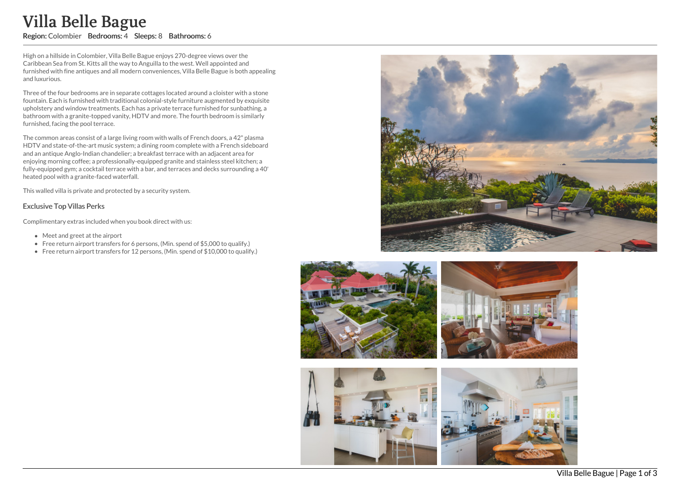## Villa Belle Bague

Region: Colombier Bedrooms: 4 Sleeps: 8 Bathrooms: 6

High on a hillside in Colombier, Villa Belle Bague enjoys 270-degree views over the Caribbean Sea from St. Kitts all the way to Anguilla to the west. Well appointed and furnished with fine antiques and all modern conveniences, Villa Belle Bague is both appealing and luxurious.

Three of the four bedrooms are in separate cottages located around a cloister with a stone fountain. Each is furnished with traditional colonial-style furniture augmented by exquisite upholstery and window treatments. Each has a private terrace furnished for sunbathing, a bathroom with a granite-topped vanity, HDTV and more. The fourth bedroom is similarly furnished, facing the pool terrace.

The common areas consist of a large living room with walls of French doors, a 42" plasma HDTV and state-of-the-art music system; a dining room complete with a French sideboard and an antique Anglo-Indian chandelier; a breakfast terrace with an adjacent area for enjoying morning coffee; a professionally-equipped granite and stainless steel kitchen; a fully-equipped gym; a cocktail terrace with a bar, and terraces and decks surrounding a 40' heated pool with a granite-faced waterfall.

This walled villa is private and protected by a security system.

## Exclusive Top Villas Perks

Complimentary extras included when you book direct with us:

- Meet and greet at the airport
- Free return airport transfers for 6 persons, (Min. spend of \$5,000 to qualify.)
- Free return airport transfers for 12 persons, (Min. spend of \$10,000 to qualify.)



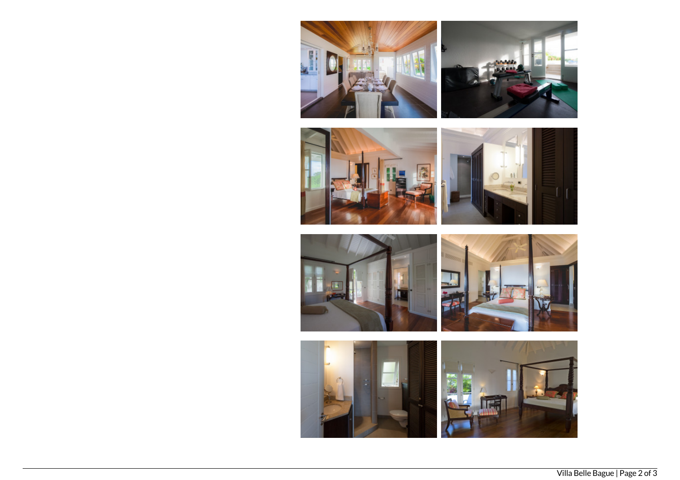